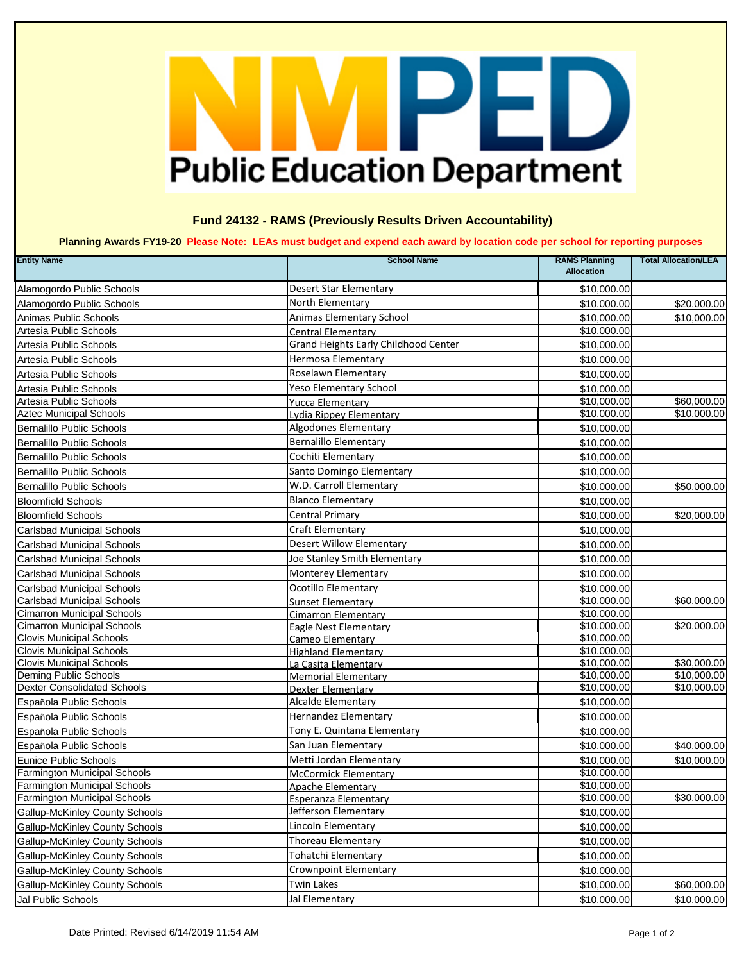## PE D **Public Education Department**

## **Fund 24132 - RAMS (Previously Results Driven Accountability)**

 **Planning Awards FY19-20 Please Note: LEAs must budget and expend each award by location code per school for reporting purposes**

| <b>Entity Name</b>                                          | <b>School Name</b>                   | <b>RAMS Planning</b><br><b>Allocation</b> | <b>Total Allocation/LEA</b> |
|-------------------------------------------------------------|--------------------------------------|-------------------------------------------|-----------------------------|
| Alamogordo Public Schools                                   | <b>Desert Star Elementary</b>        | \$10,000.00                               |                             |
| Alamogordo Public Schools                                   | North Elementary                     | \$10,000.00                               | \$20,000.00                 |
| Animas Public Schools                                       | Animas Elementary School             | \$10,000.00                               | \$10,000.00                 |
| Artesia Public Schools                                      | Central Elementary                   | \$10,000.00                               |                             |
| Artesia Public Schools                                      | Grand Heights Early Childhood Center | \$10,000.00                               |                             |
| Artesia Public Schools                                      | <b>Hermosa Elementary</b>            | \$10,000.00                               |                             |
| Artesia Public Schools                                      | Roselawn Elementary                  | \$10,000.00                               |                             |
| Artesia Public Schools                                      | <b>Yeso Elementary School</b>        | \$10,000.00                               |                             |
| Artesia Public Schools                                      | <b>Yucca Elementary</b>              | \$10,000.00                               | \$60,000.00                 |
| <b>Aztec Municipal Schools</b>                              | Lydia Rippey Elementary              | \$10,000.00                               | \$10,000.00                 |
| Bernalillo Public Schools                                   | Algodones Elementary                 | \$10,000.00                               |                             |
| Bernalillo Public Schools                                   | <b>Bernalillo Elementary</b>         | \$10,000.00                               |                             |
| <b>Bernalillo Public Schools</b>                            | Cochiti Elementary                   | \$10,000.00                               |                             |
| <b>Bernalillo Public Schools</b>                            | Santo Domingo Elementary             | \$10,000.00                               |                             |
| <b>Bernalillo Public Schools</b>                            | W.D. Carroll Elementary              | \$10,000.00                               | \$50,000.00                 |
| <b>Bloomfield Schools</b>                                   | <b>Blanco Elementary</b>             | \$10,000.00                               |                             |
| <b>Bloomfield Schools</b>                                   | <b>Central Primary</b>               | \$10,000.00                               | \$20,000.00                 |
| <b>Carlsbad Municipal Schools</b>                           | <b>Craft Elementary</b>              | \$10,000.00                               |                             |
| <b>Carlsbad Municipal Schools</b>                           | <b>Desert Willow Elementary</b>      | \$10,000.00                               |                             |
| <b>Carlsbad Municipal Schools</b>                           | Joe Stanley Smith Elementary         | \$10,000.00                               |                             |
| <b>Carlsbad Municipal Schools</b>                           | <b>Monterey Elementary</b>           | \$10,000.00                               |                             |
| <b>Carlsbad Municipal Schools</b>                           | Ocotillo Elementary                  | \$10,000.00                               |                             |
| <b>Carlsbad Municipal Schools</b>                           | <b>Sunset Elementary</b>             | \$10,000.00                               | \$60,000.00                 |
| <b>Cimarron Municipal Schools</b>                           | <b>Cimarron Elementary</b>           | \$10,000.00                               |                             |
| <b>Cimarron Municipal Schools</b>                           | Eagle Nest Elementary                | \$10,000.00                               | \$20,000.00                 |
| <b>Clovis Municipal Schools</b>                             | Cameo Elementary                     | \$10,000.00                               |                             |
| <b>Clovis Municipal Schools</b>                             | <b>Highland Elementary</b>           | \$10,000.00                               |                             |
| <b>Clovis Municipal Schools</b>                             | La Casita Elementary                 | \$10,000.00                               | \$30,000.00                 |
| Deming Public Schools<br><b>Dexter Consolidated Schools</b> | <b>Memorial Elementary</b>           | \$10,000.00                               | \$10,000.00                 |
|                                                             | Dexter Elementary                    | \$10,000.00                               | \$10,000.00                 |
| Española Public Schools                                     | Alcalde Elementary                   | \$10,000.00                               |                             |
| Española Public Schools                                     | <b>Hernandez Elementary</b>          | \$10,000.00                               |                             |
| Española Public Schools                                     | Tony E. Quintana Elementary          | \$10,000.00                               |                             |
| Española Public Schools                                     | San Juan Elementary                  | \$10,000.00                               | \$40,000.00                 |
| Eunice Public Schools                                       | Metti Jordan Elementary              | \$10,000.00                               | \$10,000.00                 |
| <b>Farmington Municipal Schools</b>                         | <b>McCormick Elementary</b>          | \$10,000.00                               |                             |
| <b>Farmington Municipal Schools</b>                         | <b>Apache Elementary</b>             | \$10,000.00                               |                             |
| Farmington Municipal Schools                                | <b>Esperanza Elementary</b>          | \$10,000.00                               | \$30,000.00                 |
| <b>Gallup-McKinley County Schools</b>                       | Jefferson Elementary                 | \$10,000.00                               |                             |
| <b>Gallup-McKinley County Schools</b>                       | Lincoln Elementary                   | \$10,000.00                               |                             |
| <b>Gallup-McKinley County Schools</b>                       | <b>Thoreau Elementary</b>            | \$10,000.00                               |                             |
| <b>Gallup-McKinley County Schools</b>                       | Tohatchi Elementary                  | \$10,000.00                               |                             |
| <b>Gallup-McKinley County Schools</b>                       | <b>Crownpoint Elementary</b>         | \$10,000.00                               |                             |
| <b>Gallup-McKinley County Schools</b>                       | <b>Twin Lakes</b>                    | \$10,000.00                               | \$60,000.00                 |
| Jal Public Schools                                          | Jal Elementary                       | \$10,000.00                               | \$10,000.00                 |